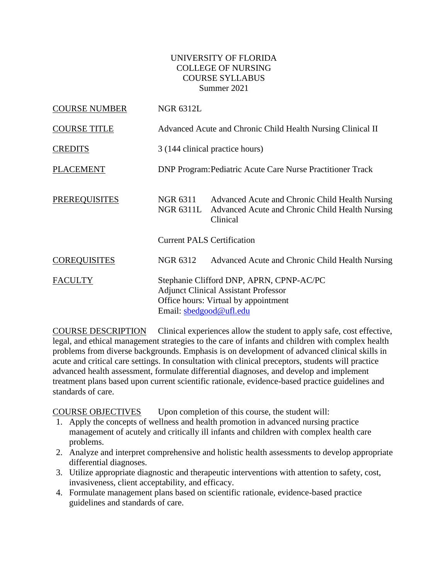## UNIVERSITY OF FLORIDA COLLEGE OF NURSING COURSE SYLLABUS Summer 2021

| <b>COURSE NUMBER</b> | <b>NGR 6312L</b>                                            |                                                                                                                                 |  |
|----------------------|-------------------------------------------------------------|---------------------------------------------------------------------------------------------------------------------------------|--|
| <b>COURSE TITLE</b>  | Advanced Acute and Chronic Child Health Nursing Clinical II |                                                                                                                                 |  |
| <b>CREDITS</b>       | 3 (144 clinical practice hours)                             |                                                                                                                                 |  |
| <b>PLACEMENT</b>     |                                                             | <b>DNP Program: Pediatric Acute Care Nurse Practitioner Track</b>                                                               |  |
| <b>PREREQUISITES</b> | NGR 6311<br>NGR 6311L                                       | Advanced Acute and Chronic Child Health Nursing<br>Advanced Acute and Chronic Child Health Nursing<br>Clinical                  |  |
|                      | <b>Current PALS Certification</b>                           |                                                                                                                                 |  |
| <b>COREQUISITES</b>  | NGR 6312                                                    | Advanced Acute and Chronic Child Health Nursing                                                                                 |  |
| <b>FACULTY</b>       | Email: sbedgood@ufl.edu                                     | Stephanie Clifford DNP, APRN, CPNP-AC/PC<br><b>Adjunct Clinical Assistant Professor</b><br>Office hours: Virtual by appointment |  |

COURSE DESCRIPTION Clinical experiences allow the student to apply safe, cost effective, legal, and ethical management strategies to the care of infants and children with complex health problems from diverse backgrounds. Emphasis is on development of advanced clinical skills in acute and critical care settings. In consultation with clinical preceptors, students will practice advanced health assessment, formulate differential diagnoses, and develop and implement treatment plans based upon current scientific rationale, evidence-based practice guidelines and standards of care.

COURSE OBJECTIVES Upon completion of this course, the student will:

- 1. Apply the concepts of wellness and health promotion in advanced nursing practice management of acutely and critically ill infants and children with complex health care problems.
- 2. Analyze and interpret comprehensive and holistic health assessments to develop appropriate differential diagnoses.
- 3. Utilize appropriate diagnostic and therapeutic interventions with attention to safety, cost, invasiveness, client acceptability, and efficacy.
- 4. Formulate management plans based on scientific rationale, evidence-based practice guidelines and standards of care.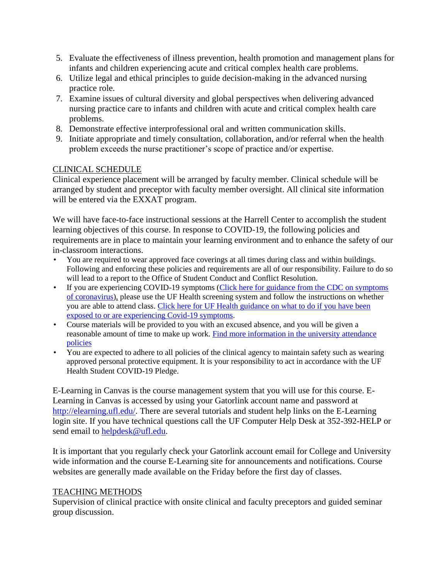- 5. Evaluate the effectiveness of illness prevention, health promotion and management plans for infants and children experiencing acute and critical complex health care problems.
- 6. Utilize legal and ethical principles to guide decision-making in the advanced nursing practice role.
- 7. Examine issues of cultural diversity and global perspectives when delivering advanced nursing practice care to infants and children with acute and critical complex health care problems.
- 8. Demonstrate effective interprofessional oral and written communication skills.
- 9. Initiate appropriate and timely consultation, collaboration, and/or referral when the health problem exceeds the nurse practitioner's scope of practice and/or expertise.

## CLINICAL SCHEDULE

Clinical experience placement will be arranged by faculty member. Clinical schedule will be arranged by student and preceptor with faculty member oversight. All clinical site information will be entered via the EXXAT program.

We will have face-to-face instructional sessions at the Harrell Center to accomplish the student learning objectives of this course. In response to COVID-19, the following policies and requirements are in place to maintain your learning environment and to enhance the safety of our in-classroom interactions.

- You are required to wear approved face coverings at all times during class and within buildings. Following and enforcing these policies and requirements are all of our responsibility. Failure to do so will lead to a report to the Office of Student Conduct and Conflict Resolution.
- If you are experiencing COVID-19 symptoms [\(Click here for guidance from the CDC on symptoms](https://www.cdc.gov/coronavirus/2019-ncov/symptoms-testing/symptoms.html)  [of coronavirus\)](https://www.cdc.gov/coronavirus/2019-ncov/symptoms-testing/symptoms.html), please use the UF Health screening system and follow the instructions on whether you are able to attend class. [Click here for UF Health guidance on what to do if you have been](https://coronavirus.ufhealth.org/screen-test-protect/covid-19-exposure-and-symptoms-who-do-i-call-if/)  [exposed to or are experiencing Covid-19 symptoms.](https://coronavirus.ufhealth.org/screen-test-protect/covid-19-exposure-and-symptoms-who-do-i-call-if/)
- Course materials will be provided to you with an excused absence, and you will be given a reasonable amount of time to make up work. Find more information in the university attendance [policies](https://catalog.ufl.edu/UGRD/academic-regulations/attendance-policies/)
- You are expected to adhere to all policies of the clinical agency to maintain safety such as wearing approved personal protective equipment. It is your responsibility to act in accordance with the UF Health Student COVID-19 Pledge.

E-Learning in Canvas is the course management system that you will use for this course. E-Learning in Canvas is accessed by using your Gatorlink account name and password at [http://elearning.ufl.edu/.](http://elearning.ufl.edu/) There are several tutorials and student help links on the E-Learning login site. If you have technical questions call the UF Computer Help Desk at 352-392-HELP or send email to [helpdesk@ufl.edu.](mailto:helpdesk@ufl.edu)

It is important that you regularly check your Gatorlink account email for College and University wide information and the course E-Learning site for announcements and notifications. Course websites are generally made available on the Friday before the first day of classes.

#### TEACHING METHODS

Supervision of clinical practice with onsite clinical and faculty preceptors and guided seminar group discussion.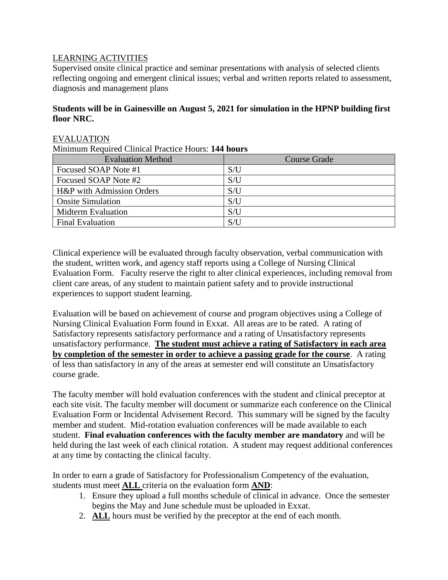## LEARNING ACTIVITIES

Supervised onsite clinical practice and seminar presentations with analysis of selected clients reflecting ongoing and emergent clinical issues; verbal and written reports related to assessment, diagnosis and management plans

#### **Students will be in Gainesville on August 5, 2021 for simulation in the HPNP building first floor NRC.**

#### EVALUATION

Minimum Required Clinical Practice Hours: **144 hours**

| <b>Evaluation Method</b>  | <b>Course Grade</b> |
|---------------------------|---------------------|
| Focused SOAP Note #1      | S/I                 |
| Focused SOAP Note #2      | S/U                 |
| H&P with Admission Orders | S/U                 |
| <b>Onsite Simulation</b>  | S/U                 |
| <b>Midterm Evaluation</b> | S/U                 |
| <b>Final Evaluation</b>   | S/I                 |

Clinical experience will be evaluated through faculty observation, verbal communication with the student, written work, and agency staff reports using a College of Nursing Clinical Evaluation Form. Faculty reserve the right to alter clinical experiences, including removal from client care areas, of any student to maintain patient safety and to provide instructional experiences to support student learning.

Evaluation will be based on achievement of course and program objectives using a College of Nursing Clinical Evaluation Form found in Exxat. All areas are to be rated. A rating of Satisfactory represents satisfactory performance and a rating of Unsatisfactory represents unsatisfactory performance. **The student must achieve a rating of Satisfactory in each area by completion of the semester in order to achieve a passing grade for the course**. A rating of less than satisfactory in any of the areas at semester end will constitute an Unsatisfactory course grade.

The faculty member will hold evaluation conferences with the student and clinical preceptor at each site visit. The faculty member will document or summarize each conference on the Clinical Evaluation Form or Incidental Advisement Record. This summary will be signed by the faculty member and student. Mid-rotation evaluation conferences will be made available to each student. **Final evaluation conferences with the faculty member are mandatory** and will be held during the last week of each clinical rotation. A student may request additional conferences at any time by contacting the clinical faculty.

In order to earn a grade of Satisfactory for Professionalism Competency of the evaluation, students must meet **ALL** criteria on the evaluation form **AND**:

- 1. Ensure they upload a full months schedule of clinical in advance. Once the semester begins the May and June schedule must be uploaded in Exxat.
- 2. **ALL** hours must be verified by the preceptor at the end of each month.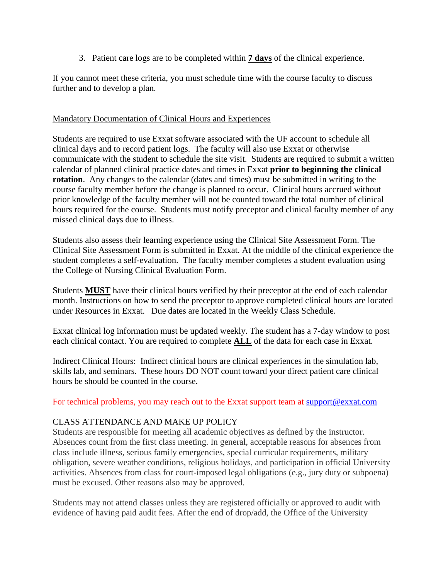3. Patient care logs are to be completed within **7 days** of the clinical experience.

If you cannot meet these criteria, you must schedule time with the course faculty to discuss further and to develop a plan.

#### Mandatory Documentation of Clinical Hours and Experiences

Students are required to use Exxat software associated with the UF account to schedule all clinical days and to record patient logs. The faculty will also use Exxat or otherwise communicate with the student to schedule the site visit. Students are required to submit a written calendar of planned clinical practice dates and times in Exxat **prior to beginning the clinical rotation**. Any changes to the calendar (dates and times) must be submitted in writing to the course faculty member before the change is planned to occur. Clinical hours accrued without prior knowledge of the faculty member will not be counted toward the total number of clinical hours required for the course. Students must notify preceptor and clinical faculty member of any missed clinical days due to illness.

Students also assess their learning experience using the Clinical Site Assessment Form. The Clinical Site Assessment Form is submitted in Exxat. At the middle of the clinical experience the student completes a self-evaluation. The faculty member completes a student evaluation using the College of Nursing Clinical Evaluation Form.

Students **MUST** have their clinical hours verified by their preceptor at the end of each calendar month. Instructions on how to send the preceptor to approve completed clinical hours are located under Resources in Exxat. Due dates are located in the Weekly Class Schedule.

Exxat clinical log information must be updated weekly. The student has a 7-day window to post each clinical contact. You are required to complete **ALL** of the data for each case in Exxat.

Indirect Clinical Hours: Indirect clinical hours are clinical experiences in the simulation lab, skills lab, and seminars. These hours DO NOT count toward your direct patient care clinical hours be should be counted in the course.

For technical problems, you may reach out to the Exxat support team at [support@exxat.com](mailto:support@exxat.com)

## CLASS ATTENDANCE AND MAKE UP POLICY

Students are responsible for meeting all academic objectives as defined by the instructor. Absences count from the first class meeting. In general, acceptable reasons for absences from class include illness, serious family emergencies, special curricular requirements, military obligation, severe weather conditions, religious holidays, and participation in official University activities. Absences from class for court-imposed legal obligations (e.g., jury duty or subpoena) must be excused. Other reasons also may be approved.

Students may not attend classes unless they are registered officially or approved to audit with evidence of having paid audit fees. After the end of drop/add, the Office of the University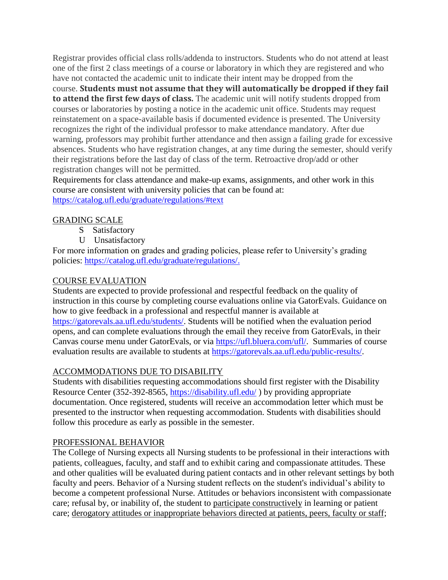Registrar provides official class rolls/addenda to instructors. Students who do not attend at least one of the first 2 class meetings of a course or laboratory in which they are registered and who have not contacted the academic unit to indicate their intent may be dropped from the course. **Students must not assume that they will automatically be dropped if they fail to attend the first few days of class.** The academic unit will notify students dropped from courses or laboratories by posting a notice in the academic unit office. Students may request reinstatement on a space-available basis if documented evidence is presented. The University recognizes the right of the individual professor to make attendance mandatory. After due warning, professors may prohibit further attendance and then assign a failing grade for excessive absences. Students who have registration changes, at any time during the semester, should verify their registrations before the last day of class of the term. Retroactive drop/add or other registration changes will not be permitted.

Requirements for class attendance and make-up exams, assignments, and other work in this course are consistent with university policies that can be found at: <https://catalog.ufl.edu/graduate/regulations/#text>

## GRADING SCALE

- S Satisfactory
- U Unsatisfactory

For more information on grades and grading policies, please refer to University's grading policies: [https://catalog.ufl.edu/graduate/regulations/.](https://catalog.ufl.edu/graduate/regulations/)

## COURSE EVALUATION

Students are expected to provide professional and respectful feedback on the quality of instruction in this course by completing course evaluations online via GatorEvals. Guidance on how to give feedback in a professional and respectful manner is available at [https://gatorevals.aa.ufl.edu/students/.](https://gatorevals.aa.ufl.edu/students/) Students will be notified when the evaluation period opens, and can complete evaluations through the email they receive from GatorEvals, in their Canvas course menu under GatorEvals, or via [https://ufl.bluera.com/ufl/.](https://ufl.bluera.com/ufl/) Summaries of course evaluation results are available to students at [https://gatorevals.aa.ufl.edu/public-results/.](https://gatorevals.aa.ufl.edu/public-results/)

## ACCOMMODATIONS DUE TO DISABILITY

Students with disabilities requesting accommodations should first register with the Disability Resource Center (352-392-8565,<https://disability.ufl.edu/> ) by providing appropriate documentation. Once registered, students will receive an accommodation letter which must be presented to the instructor when requesting accommodation. Students with disabilities should follow this procedure as early as possible in the semester.

#### PROFESSIONAL BEHAVIOR

The College of Nursing expects all Nursing students to be professional in their interactions with patients, colleagues, faculty, and staff and to exhibit caring and compassionate attitudes. These and other qualities will be evaluated during patient contacts and in other relevant settings by both faculty and peers. Behavior of a Nursing student reflects on the student's individual's ability to become a competent professional Nurse. Attitudes or behaviors inconsistent with compassionate care; refusal by, or inability of, the student to participate constructively in learning or patient care; derogatory attitudes or inappropriate behaviors directed at patients, peers, faculty or staff;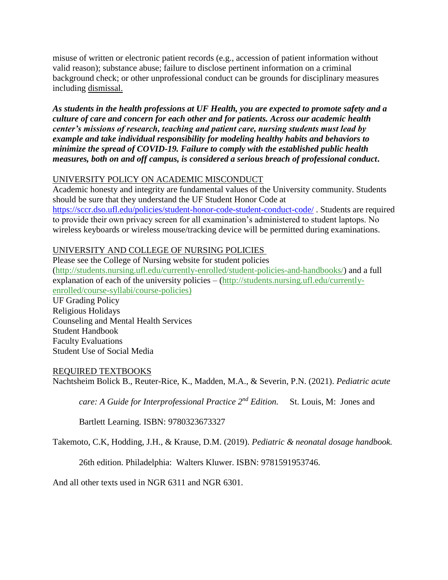misuse of written or electronic patient records (e.g., accession of patient information without valid reason); substance abuse; failure to disclose pertinent information on a criminal background check; or other unprofessional conduct can be grounds for disciplinary measures including dismissal.

*As students in the health professions at UF Health, you are expected to promote safety and a culture of care and concern for each other and for patients. Across our academic health center's missions of research, teaching and patient care, nursing students must lead by example and take individual responsibility for modeling healthy habits and behaviors to minimize the spread of COVID-19. Failure to comply with the established public health measures, both on and off campus, is considered a serious breach of professional conduct***.** 

## UNIVERSITY POLICY ON ACADEMIC MISCONDUCT

Academic honesty and integrity are fundamental values of the University community. Students should be sure that they understand the UF Student Honor Code at <https://sccr.dso.ufl.edu/policies/student-honor-code-student-conduct-code/> . Students are required to provide their own privacy screen for all examination's administered to student laptops. No wireless keyboards or wireless mouse/tracking device will be permitted during examinations.

# UNIVERSITY AND COLLEGE OF NURSING POLICIES

Please see the College of Nursing website for student policies [\(http://students.nursing.ufl.edu/currently-enrolled/student-policies-and-handbooks/\)](http://students.nursing.ufl.edu/currently-enrolled/student-policies-and-handbooks/) and a full explanation of each of the university policies – [\(http://students.nursing.ufl.edu/currently](http://students.nursing.ufl.edu/currently-enrolled/course-syllabi/course-policies)[enrolled/course-syllabi/course-policies\)](http://students.nursing.ufl.edu/currently-enrolled/course-syllabi/course-policies)

UF Grading Policy Religious Holidays Counseling and Mental Health Services Student Handbook Faculty Evaluations Student Use of Social Media

## REQUIRED TEXTBOOKS

Nachtsheim Bolick B., Reuter-Rice, K., Madden, M.A., & Severin, P.N. (2021). *Pediatric acute* 

*care: A Guide for Interprofessional Practice 2nd Edition.* St. Louis, M: Jones and

Bartlett Learning. ISBN: 9780323673327

Takemoto, C.K, Hodding, J.H., & Krause, D.M. (2019). *Pediatric & neonatal dosage handbook.* 

26th edition. Philadelphia: Walters Kluwer. ISBN: 9781591953746.

And all other texts used in NGR 6311 and NGR 6301.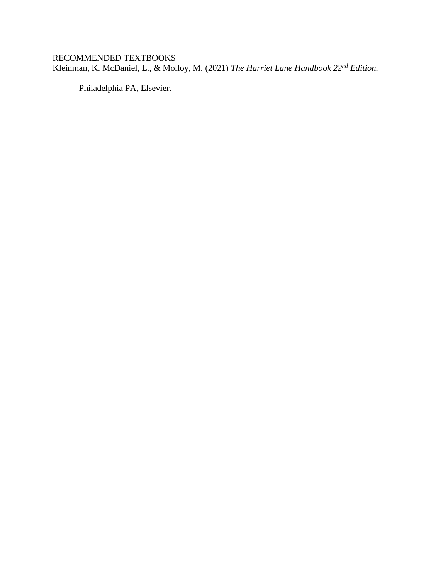#### RECOMMENDED TEXTBOOKS

Kleinman, K. McDaniel, L., & Molloy, M. (2021) *The Harriet Lane Handbook 22nd Edition.* 

Philadelphia PA, Elsevier.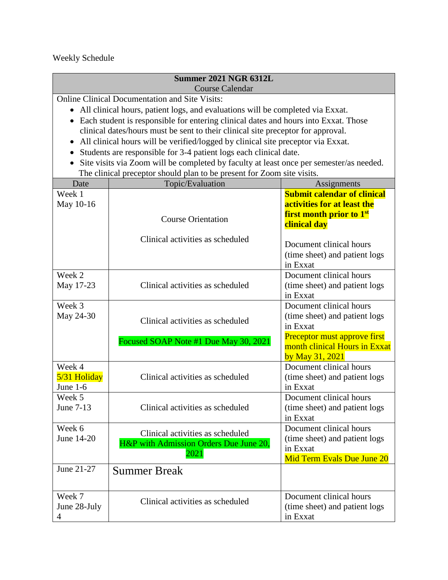# Weekly Schedule

| <b>Summer 2021 NGR 6312L</b><br><b>Course Calendar</b>                                                                                                                                                                                                                                                                                                                                                                                                                                                                                                                                                                                                            |                                                                                    |                                                                                                                                                          |  |  |  |  |
|-------------------------------------------------------------------------------------------------------------------------------------------------------------------------------------------------------------------------------------------------------------------------------------------------------------------------------------------------------------------------------------------------------------------------------------------------------------------------------------------------------------------------------------------------------------------------------------------------------------------------------------------------------------------|------------------------------------------------------------------------------------|----------------------------------------------------------------------------------------------------------------------------------------------------------|--|--|--|--|
| <b>Online Clinical Documentation and Site Visits:</b><br>• All clinical hours, patient logs, and evaluations will be completed via Exxat.<br>• Each student is responsible for entering clinical dates and hours into Exxat. Those<br>clinical dates/hours must be sent to their clinical site preceptor for approval.<br>All clinical hours will be verified/logged by clinical site preceptor via Exxat.<br>Students are responsible for 3-4 patient logs each clinical date.<br>$\bullet$<br>Site visits via Zoom will be completed by faculty at least once per semester/as needed.<br>The clinical preceptor should plan to be present for Zoom site visits. |                                                                                    |                                                                                                                                                          |  |  |  |  |
| Date                                                                                                                                                                                                                                                                                                                                                                                                                                                                                                                                                                                                                                                              | Topic/Evaluation                                                                   | Assignments                                                                                                                                              |  |  |  |  |
| Week 1<br>May 10-16                                                                                                                                                                                                                                                                                                                                                                                                                                                                                                                                                                                                                                               | <b>Course Orientation</b>                                                          | <b>Submit calendar of clinical</b><br>activities for at least the<br><b>first month prior to 1st</b><br>clinical day                                     |  |  |  |  |
|                                                                                                                                                                                                                                                                                                                                                                                                                                                                                                                                                                                                                                                                   | Clinical activities as scheduled                                                   | Document clinical hours<br>(time sheet) and patient logs<br>in Exxat                                                                                     |  |  |  |  |
| Week 2<br>May 17-23                                                                                                                                                                                                                                                                                                                                                                                                                                                                                                                                                                                                                                               | Clinical activities as scheduled                                                   | Document clinical hours<br>(time sheet) and patient logs<br>in Exxat                                                                                     |  |  |  |  |
| Week 3<br>May 24-30                                                                                                                                                                                                                                                                                                                                                                                                                                                                                                                                                                                                                                               | Clinical activities as scheduled<br>Focused SOAP Note #1 Due May 30, 2021          | Document clinical hours<br>(time sheet) and patient logs<br>in Exxat<br>Preceptor must approve first<br>month clinical Hours in Exxat<br>by May 31, 2021 |  |  |  |  |
| Week 4<br>5/31 Holiday<br>June 1-6                                                                                                                                                                                                                                                                                                                                                                                                                                                                                                                                                                                                                                | Clinical activities as scheduled                                                   | Document clinical hours<br>(time sheet) and patient logs<br>in Exxat                                                                                     |  |  |  |  |
| Week 5<br>June 7-13                                                                                                                                                                                                                                                                                                                                                                                                                                                                                                                                                                                                                                               | Clinical activities as scheduled                                                   | Document clinical hours<br>(time sheet) and patient logs<br>in Exxat                                                                                     |  |  |  |  |
| Week 6<br>June 14-20                                                                                                                                                                                                                                                                                                                                                                                                                                                                                                                                                                                                                                              | Clinical activities as scheduled<br>H&P with Admission Orders Due June 20,<br>2021 | Document clinical hours<br>(time sheet) and patient logs<br>in Exxat<br>Mid Term Evals Due June 20                                                       |  |  |  |  |
| June 21-27                                                                                                                                                                                                                                                                                                                                                                                                                                                                                                                                                                                                                                                        | <b>Summer Break</b>                                                                |                                                                                                                                                          |  |  |  |  |
| Week 7<br>June 28-July<br>4                                                                                                                                                                                                                                                                                                                                                                                                                                                                                                                                                                                                                                       | Clinical activities as scheduled                                                   | Document clinical hours<br>(time sheet) and patient logs<br>in Exxat                                                                                     |  |  |  |  |